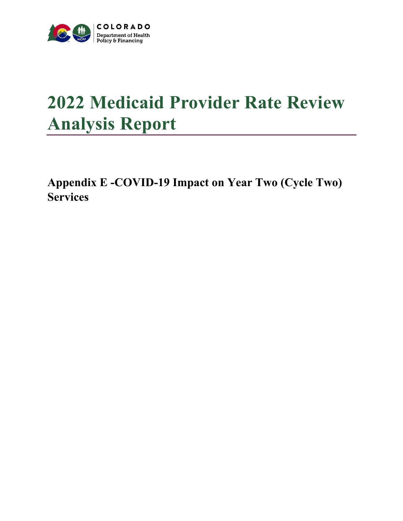

## **2022 Medicaid Provider Rate Review Analysis Report**

**Appendix E -COVID-19 Impact on Year Two (Cycle Two) Services**